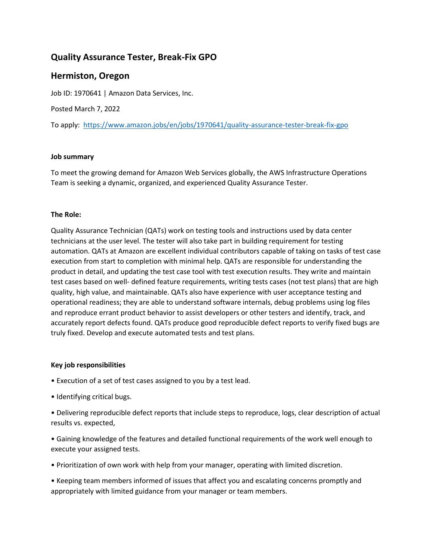# **Quality Assurance Tester, Break-Fix GPO**

## **Hermiston, Oregon**

Job ID: 1970641 | Amazon Data Services, Inc.

Posted March 7, 2022

To apply: <https://www.amazon.jobs/en/jobs/1970641/quality-assurance-tester-break-fix-gpo>

### **Job summary**

To meet the growing demand for Amazon Web Services globally, the AWS Infrastructure Operations Team is seeking a dynamic, organized, and experienced Quality Assurance Tester.

## **The Role:**

Quality Assurance Technician (QATs) work on testing tools and instructions used by data center technicians at the user level. The tester will also take part in building requirement for testing automation. QATs at Amazon are excellent individual contributors capable of taking on tasks of test case execution from start to completion with minimal help. QATs are responsible for understanding the product in detail, and updating the test case tool with test execution results. They write and maintain test cases based on well- defined feature requirements, writing tests cases (not test plans) that are high quality, high value, and maintainable. QATs also have experience with user acceptance testing and operational readiness; they are able to understand software internals, debug problems using log files and reproduce errant product behavior to assist developers or other testers and identify, track, and accurately report defects found. QATs produce good reproducible defect reports to verify fixed bugs are truly fixed. Develop and execute automated tests and test plans.

### **Key job responsibilities**

- Execution of a set of test cases assigned to you by a test lead.
- Identifying critical bugs.

• Delivering reproducible defect reports that include steps to reproduce, logs, clear description of actual results vs. expected,

• Gaining knowledge of the features and detailed functional requirements of the work well enough to execute your assigned tests.

• Prioritization of own work with help from your manager, operating with limited discretion.

• Keeping team members informed of issues that affect you and escalating concerns promptly and appropriately with limited guidance from your manager or team members.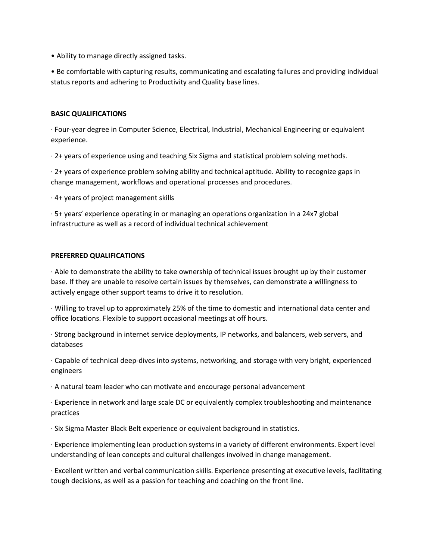• Ability to manage directly assigned tasks.

• Be comfortable with capturing results, communicating and escalating failures and providing individual status reports and adhering to Productivity and Quality base lines.

#### **BASIC QUALIFICATIONS**

· Four-year degree in Computer Science, Electrical, Industrial, Mechanical Engineering or equivalent experience.

· 2+ years of experience using and teaching Six Sigma and statistical problem solving methods.

· 2+ years of experience problem solving ability and technical aptitude. Ability to recognize gaps in change management, workflows and operational processes and procedures.

· 4+ years of project management skills

· 5+ years' experience operating in or managing an operations organization in a 24x7 global infrastructure as well as a record of individual technical achievement

#### **PREFERRED QUALIFICATIONS**

· Able to demonstrate the ability to take ownership of technical issues brought up by their customer base. If they are unable to resolve certain issues by themselves, can demonstrate a willingness to actively engage other support teams to drive it to resolution.

· Willing to travel up to approximately 25% of the time to domestic and international data center and office locations. Flexible to support occasional meetings at off hours.

· Strong background in internet service deployments, IP networks, and balancers, web servers, and databases

· Capable of technical deep-dives into systems, networking, and storage with very bright, experienced engineers

· A natural team leader who can motivate and encourage personal advancement

· Experience in network and large scale DC or equivalently complex troubleshooting and maintenance practices

· Six Sigma Master Black Belt experience or equivalent background in statistics.

· Experience implementing lean production systems in a variety of different environments. Expert level understanding of lean concepts and cultural challenges involved in change management.

· Excellent written and verbal communication skills. Experience presenting at executive levels, facilitating tough decisions, as well as a passion for teaching and coaching on the front line.